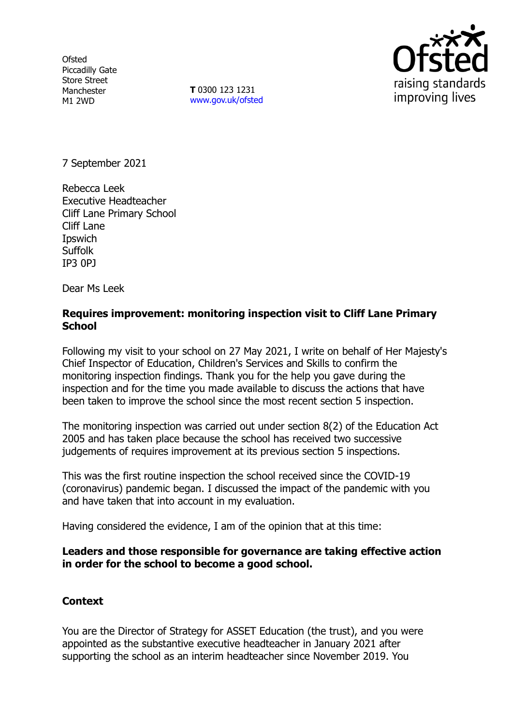**Ofsted** Piccadilly Gate Store Street Manchester M1 2WD

**T** 0300 123 1231 [www.gov.uk/ofsted](http://www.gov.uk/ofsted)



7 September 2021

Rebecca Leek Executive Headteacher Cliff Lane Primary School Cliff Lane **I**pswich **Suffolk** IP3 0PJ

Dear Ms Leek

### **Requires improvement: monitoring inspection visit to Cliff Lane Primary School**

Following my visit to your school on 27 May 2021, I write on behalf of Her Majesty's Chief Inspector of Education, Children's Services and Skills to confirm the monitoring inspection findings. Thank you for the help you gave during the inspection and for the time you made available to discuss the actions that have been taken to improve the school since the most recent section 5 inspection.

The monitoring inspection was carried out under section 8(2) of the Education Act 2005 and has taken place because the school has received two successive judgements of requires improvement at its previous section 5 inspections.

This was the first routine inspection the school received since the COVID-19 (coronavirus) pandemic began. I discussed the impact of the pandemic with you and have taken that into account in my evaluation.

Having considered the evidence, I am of the opinion that at this time:

#### **Leaders and those responsible for governance are taking effective action in order for the school to become a good school.**

## **Context**

You are the Director of Strategy for ASSET Education (the trust), and you were appointed as the substantive executive headteacher in January 2021 after supporting the school as an interim headteacher since November 2019. You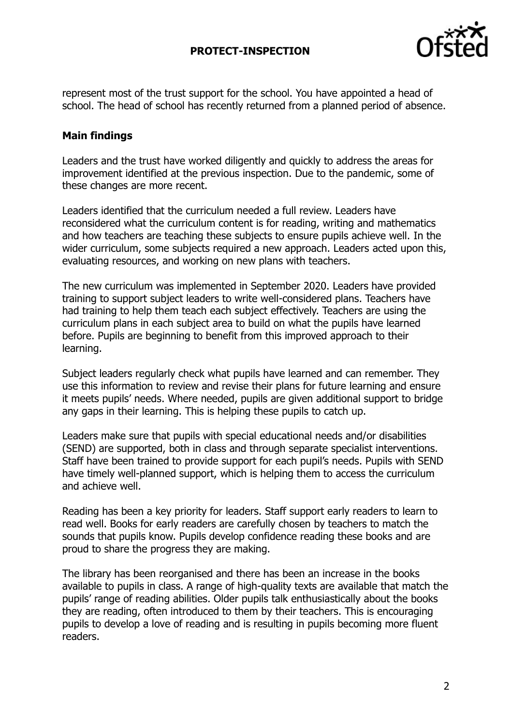## **PROTECT-INSPECTION**



represent most of the trust support for the school. You have appointed a head of school. The head of school has recently returned from a planned period of absence.

## **Main findings**

Leaders and the trust have worked diligently and quickly to address the areas for improvement identified at the previous inspection. Due to the pandemic, some of these changes are more recent.

Leaders identified that the curriculum needed a full review. Leaders have reconsidered what the curriculum content is for reading, writing and mathematics and how teachers are teaching these subjects to ensure pupils achieve well. In the wider curriculum, some subjects required a new approach. Leaders acted upon this, evaluating resources, and working on new plans with teachers.

The new curriculum was implemented in September 2020. Leaders have provided training to support subject leaders to write well-considered plans. Teachers have had training to help them teach each subject effectively. Teachers are using the curriculum plans in each subject area to build on what the pupils have learned before. Pupils are beginning to benefit from this improved approach to their learning.

Subject leaders regularly check what pupils have learned and can remember. They use this information to review and revise their plans for future learning and ensure it meets pupils' needs. Where needed, pupils are given additional support to bridge any gaps in their learning. This is helping these pupils to catch up.

Leaders make sure that pupils with special educational needs and/or disabilities (SEND) are supported, both in class and through separate specialist interventions. Staff have been trained to provide support for each pupil's needs. Pupils with SEND have timely well-planned support, which is helping them to access the curriculum and achieve well.

Reading has been a key priority for leaders. Staff support early readers to learn to read well. Books for early readers are carefully chosen by teachers to match the sounds that pupils know. Pupils develop confidence reading these books and are proud to share the progress they are making.

The library has been reorganised and there has been an increase in the books available to pupils in class. A range of high-quality texts are available that match the pupils' range of reading abilities. Older pupils talk enthusiastically about the books they are reading, often introduced to them by their teachers. This is encouraging pupils to develop a love of reading and is resulting in pupils becoming more fluent readers.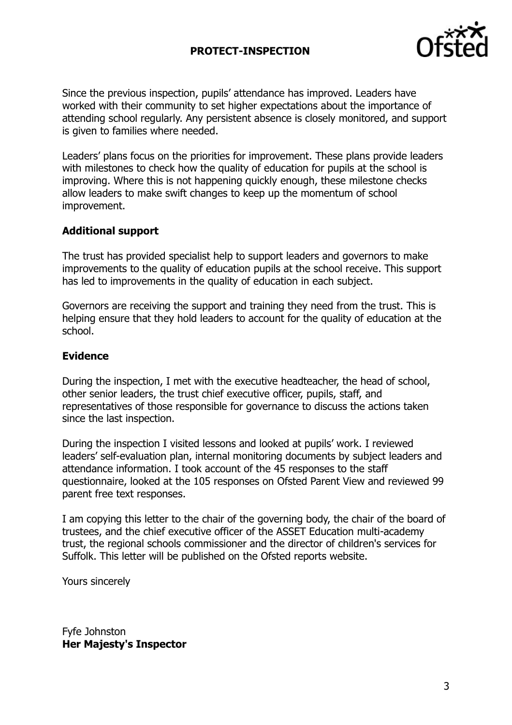## **PROTECT-INSPECTION**



Since the previous inspection, pupils' attendance has improved. Leaders have worked with their community to set higher expectations about the importance of attending school regularly. Any persistent absence is closely monitored, and support is given to families where needed.

Leaders' plans focus on the priorities for improvement. These plans provide leaders with milestones to check how the quality of education for pupils at the school is improving. Where this is not happening quickly enough, these milestone checks allow leaders to make swift changes to keep up the momentum of school improvement.

#### **Additional support**

The trust has provided specialist help to support leaders and governors to make improvements to the quality of education pupils at the school receive. This support has led to improvements in the quality of education in each subject.

Governors are receiving the support and training they need from the trust. This is helping ensure that they hold leaders to account for the quality of education at the school.

#### **Evidence**

During the inspection, I met with the executive headteacher, the head of school, other senior leaders, the trust chief executive officer, pupils, staff, and representatives of those responsible for governance to discuss the actions taken since the last inspection.

During the inspection I visited lessons and looked at pupils' work. I reviewed leaders' self-evaluation plan, internal monitoring documents by subject leaders and attendance information. I took account of the 45 responses to the staff questionnaire, looked at the 105 responses on Ofsted Parent View and reviewed 99 parent free text responses.

I am copying this letter to the chair of the governing body, the chair of the board of trustees, and the chief executive officer of the ASSET Education multi-academy trust, the regional schools commissioner and the director of children's services for Suffolk. This letter will be published on the Ofsted reports website.

Yours sincerely

Fyfe Johnston **Her Majesty's Inspector**